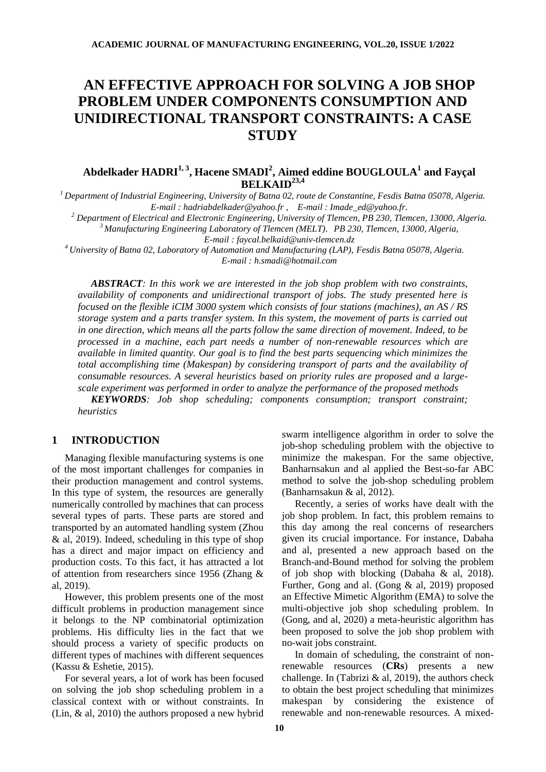# **AN EFFECTIVE APPROACH FOR SOLVING A JOB SHOP PROBLEM UNDER COMPONENTS CONSUMPTION AND UNIDIRECTIONAL TRANSPORT CONSTRAINTS: A CASE STUDY**

## **Abdelkader HADRI1, 3, Hacene SMADI<sup>2</sup> , Aimed eddine BOUGLOULA<sup>1</sup> and Fayçal BELKAID23,4**

*<sup>1</sup>Department of Industrial Engineering, University of Batna 02, route de Constantine, Fesdis Batna 05078, Algeria. E-mail : [hadriabdelkader@yahoo.fr](mailto:hadriabdelkader@yahoo.fr) , E-mail : [Imade\\_ed@yahoo.fr](mailto:Imade_ed@yahoo.fr).*

*<sup>2</sup> Department of Electrical and Electronic Engineering, University of Tlemcen, PB 230, Tlemcen, 13000, Algeria. <sup>3</sup>Manufacturing Engineering Laboratory of Tlemcen (MELT)*, *PB 230, Tlemcen, 13000, Algeria,* 

*E-mail : faycal.belkaid@univ-tlemcen.dz*

*<sup>4</sup>University of Batna 02, Laboratory of Automation and Manufacturing (LAP), Fesdis Batna 05078, Algeria. E-mail : h.smadi@hotmail.com*

*ABSTRACT: In this work we are interested in the job shop problem with two constraints, availability of components and unidirectional transport of jobs. The study presented here is focused on the flexible iCIM 3000 system which consists of four stations (machines), an AS / RS storage system and a parts transfer system. In this system, the movement of parts is carried out in one direction, which means all the parts follow the same direction of movement. Indeed, to be processed in a machine, each part needs a number of non-renewable resources which are available in limited quantity. Our goal is to find the best parts sequencing which minimizes the total accomplishing time (Makespan) by considering transport of parts and the availability of consumable resources. A several heuristics based on priority rules are proposed and a largescale experiment was performed in order to analyze the performance of the proposed methods*

*KEYWORDS: Job shop scheduling; components consumption; transport constraint; heuristics*

## **1 INTRODUCTION**

Managing flexible manufacturing systems is one of the most important challenges for companies in their production management and control systems. In this type of system, the resources are generally numerically controlled by machines that can process several types of parts. These parts are stored and transported by an automated handling system (Zhou & al, 2019). Indeed, scheduling in this type of shop has a direct and major impact on efficiency and production costs. To this fact, it has attracted a lot of attention from researchers since 1956 (Zhang & al, 2019).

However, this problem presents one of the most difficult problems in production management since it belongs to the NP combinatorial optimization problems. His difficulty lies in the fact that we should process a variety of specific products on different types of machines with different sequences (Kassu & Eshetie, 2015).

For several years, a lot of work has been focused on solving the job shop scheduling problem in a classical context with or without constraints. In (Lin, & al, 2010) the authors proposed a new hybrid

swarm intelligence algorithm in order to solve the job-shop scheduling problem with the objective to minimize the makespan. For the same objective, Banharnsakun and al applied the Best-so-far ABC method to solve the job-shop scheduling problem (Banharnsakun & al, 2012).

Recently, a series of works have dealt with the job shop problem. In fact, this problem remains to this day among the real concerns of researchers given its crucial importance. For instance, Dabaha and al, presented a new approach based on the Branch-and-Bound method for solving the problem of job shop with blocking (Dabaha & al, 2018). Further, Gong and al. (Gong & al, 2019) proposed an Effective Mimetic Algorithm (EMA) to solve the multi-objective job shop scheduling problem. In (Gong, and al, 2020) a meta-heuristic algorithm has been proposed to solve the job shop problem with no-wait jobs constraint.

In domain of scheduling, the constraint of nonrenewable resources (**CRs**) presents a new challenge. In (Tabrizi  $\&$  al, 2019), the authors check to obtain the best project scheduling that minimizes makespan by considering the existence of renewable and non-renewable resources. A mixed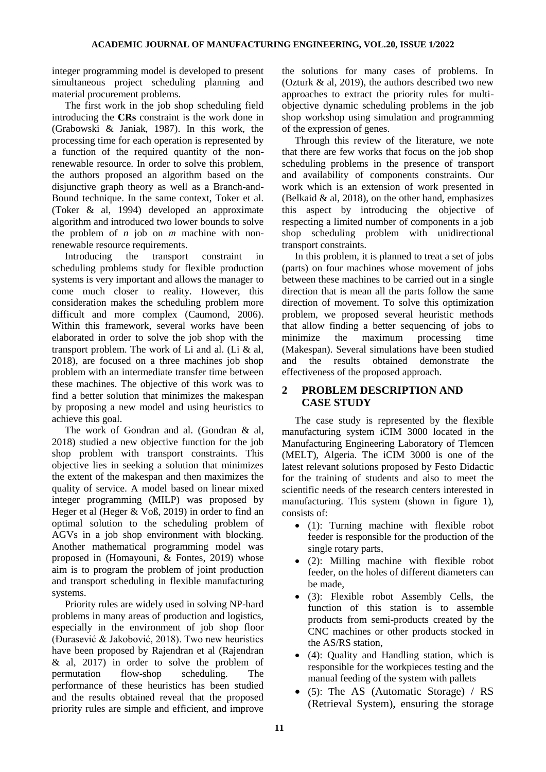integer programming model is developed to present simultaneous project scheduling planning and material procurement problems.

The first work in the job shop scheduling field introducing the **CRs** constraint is the work done in (Grabowski & Janiak, 1987). In this work, the processing time for each operation is represented by a function of the required quantity of the nonrenewable resource. In order to solve this problem, the authors proposed an algorithm based on the disjunctive graph theory as well as a Branch-and-Bound technique. In the same context, Toker et al. (Toker & al, 1994) developed an approximate algorithm and introduced two lower bounds to solve the problem of *n* job on *m* machine with nonrenewable resource requirements.

Introducing the transport constraint in scheduling problems study for flexible production systems is very important and allows the manager to come much closer to reality. However, this consideration makes the scheduling problem more difficult and more complex (Caumond, 2006). Within this framework, several works have been elaborated in order to solve the job shop with the transport problem. The work of Li and al. (Li & al, 2018), are focused on a three machines job shop problem with an intermediate transfer time between these machines. The objective of this work was to find a better solution that minimizes the makespan by proposing a new model and using heuristics to achieve this goal.

The work of Gondran and al. (Gondran & al, 2018) studied a new objective function for the job shop problem with transport constraints. This objective lies in seeking a solution that minimizes the extent of the makespan and then maximizes the quality of service. A model based on linear mixed integer programming (MILP) was proposed by Heger et al (Heger & Voß, 2019) in order to find an optimal solution to the scheduling problem of AGVs in a job shop environment with blocking. Another mathematical programming model was proposed in (Homayouni, & Fontes, 2019) whose aim is to program the problem of joint production and transport scheduling in flexible manufacturing systems.

Priority rules are widely used in solving NP-hard problems in many areas of production and logistics, especially in the environment of job shop floor (Đurasević & Jakobović, 2018). Two new heuristics have been proposed by Rajendran et al (Rajendran & al, 2017) in order to solve the problem of permutation flow-shop scheduling. The performance of these heuristics has been studied and the results obtained reveal that the proposed priority rules are simple and efficient, and improve

the solutions for many cases of problems. In (Ozturk & al, 2019), the authors described two new approaches to extract the priority rules for multiobjective dynamic scheduling problems in the job shop workshop using simulation and programming of the expression of genes.

Through this review of the literature, we note that there are few works that focus on the job shop scheduling problems in the presence of transport and availability of components constraints. Our work which is an extension of work presented in (Belkaid  $\&$  al, 2018), on the other hand, emphasizes this aspect by introducing the objective of respecting a limited number of components in a job shop scheduling problem with unidirectional transport constraints.

In this problem, it is planned to treat a set of jobs (parts) on four machines whose movement of jobs between these machines to be carried out in a single direction that is mean all the parts follow the same direction of movement. To solve this optimization problem, we proposed several heuristic methods that allow finding a better sequencing of jobs to minimize the maximum processing time (Makespan). Several simulations have been studied and the results obtained demonstrate the effectiveness of the proposed approach.

# **2 PROBLEM DESCRIPTION AND CASE STUDY**

The case study is represented by the flexible manufacturing system iCIM 3000 located in the Manufacturing Engineering Laboratory of Tlemcen (MELT), Algeria. The iCIM 3000 is one of the latest relevant solutions proposed by Festo Didactic for the training of students and also to meet the scientific needs of the research centers interested in manufacturing. This system (shown in figure 1), consists of:

- (1): Turning machine with flexible robot feeder is responsible for the production of the single rotary parts,
- (2): Milling machine with flexible robot feeder, on the holes of different diameters can be made,
- (3): Flexible robot Assembly Cells, the function of this station is to assemble products from semi-products created by the CNC machines or other products stocked in the AS/RS station,
- (4): Quality and Handling station, which is responsible for the workpieces testing and the manual feeding of the system with pallets
- (5): The AS (Automatic Storage) / RS (Retrieval System), ensuring the storage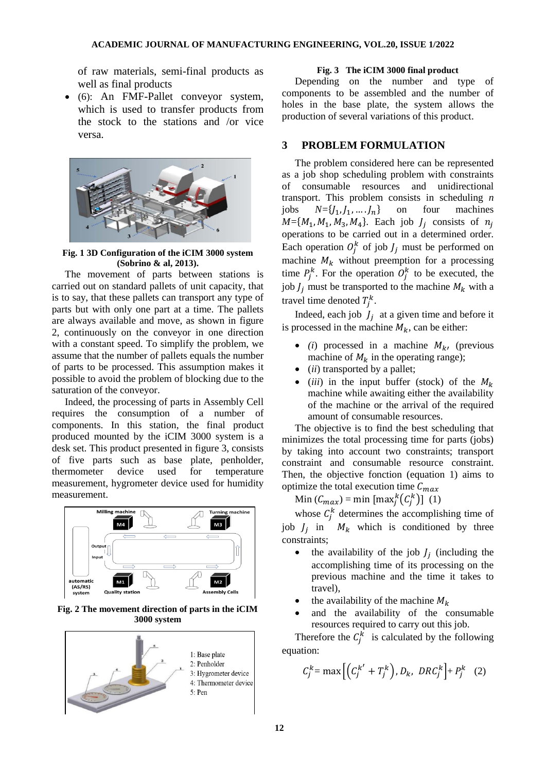of raw materials, semi-final products as well as final products

 (6): An FMF-Pallet conveyor system, which is used to transfer products from the stock to the stations and /or vice versa.



**Fig. 1 3D Configuration of the iCIM 3000 system (Sobrino & al, 2013).**

The movement of parts between stations is carried out on standard pallets of unit capacity, that is to say, that these pallets can transport any type of parts but with only one part at a time. The pallets are always available and move, as shown in figure 2, continuously on the conveyor in one direction with a constant speed. To simplify the problem, we assume that the number of pallets equals the number of parts to be processed. This assumption makes it possible to avoid the problem of blocking due to the saturation of the conveyor.

Indeed, the processing of parts in Assembly Cell requires the consumption of a number of components. In this station, the final product produced mounted by the iCIM 3000 system is a desk set. This product presented in figure 3, consists of five parts such as base plate, penholder, thermometer device used for temperature measurement, hygrometer device used for humidity measurement.



**Fig. 2 The movement direction of parts in the iCIM 3000 system**



#### **Fig. 3 The iCIM 3000 final product**

Depending on the number and type of components to be assembled and the number of holes in the base plate, the system allows the production of several variations of this product.

## **3 PROBLEM FORMULATION**

The problem considered here can be represented as a job shop scheduling problem with constraints of consumable resources and unidirectional transport. This problem consists in scheduling *n* jobs  $N=\{J_1, J_1, ..., J_n\}$  on four machines  $M = \{M_1, M_1, M_3, M_4\}$ . Each job  $J_i$  consists of operations to be carried out in a determined order. Each operation  $O_i^k$  of job  $J_i$  must be performed on machine  $M_k$  without preemption for a processing time  $P_i^k$ . For the operation  $O_i^k$  to be executed, the job  $J_i$  must be transported to the machine  $M_k$  with a travel time denoted  $T_i^k$ .

Indeed, each job  $J_i$  at a given time and before it is processed in the machine  $M_k$ , can be either:

- $\bullet$  (*i*) processed in a machine  $M_{k}$ , (previous machine of  $M_k$  in the operating range);
- (*ii*) transported by a pallet;
- (*iii*) in the input buffer (stock) of the  $M_k$ machine while awaiting either the availability of the machine or the arrival of the required amount of consumable resources.

The objective is to find the best scheduling that minimizes the total processing time for parts (jobs) by taking into account two constraints; transport constraint and consumable resource constraint. Then, the objective fonction (equation 1) aims to optimize the total execution time  $C_{max}$ 

Min  $(C_{max})$  = min  $[\max_i^k(C_i^k)]$  (1)

whose  $C_i^k$  determines the accomplishing time of job  $J_i$  in  $M_k$  which is conditioned by three constraints;

- the availability of the job  $J_i$  (including the accomplishing time of its processing on the previous machine and the time it takes to travel),
- the availability of the machine  $M_k$
- and the availability of the consumable resources required to carry out this job.

Therefore the  $C_i^k$  is calculated by the following equation:

$$
C_j^k = \max\left[\left(C_j^{k'} + T_j^k\right), D_k, \, DRC_j^k\right] + P_j^k \quad (2)
$$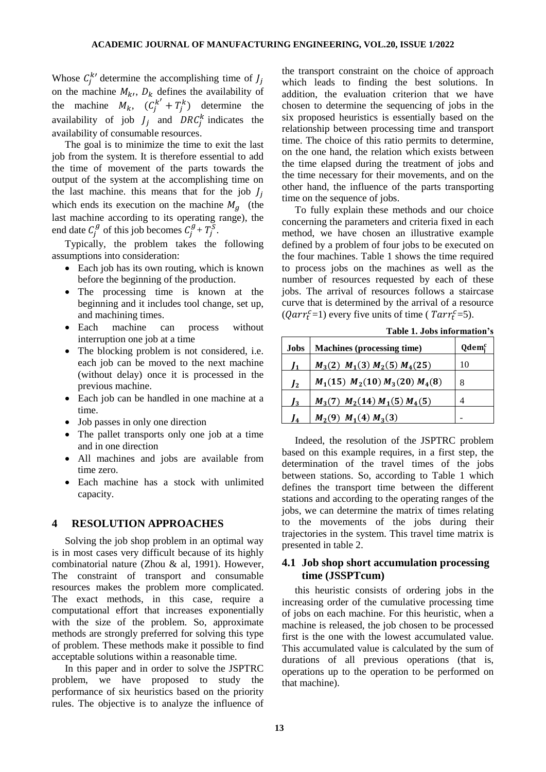Whose  $C_i^{k'}$  determine the accomplishing time of on the machine  $M_k$ ,  $D_k$  defines the availability of the machine  $M_k$ ,  $(C_i^{k'} + T_i^k)$  determine the availability of job  $J_i$  and  $DRC_i^k$  indicates the availability of consumable resources.

The goal is to minimize the time to exit the last job from the system. It is therefore essential to add the time of movement of the parts towards the output of the system at the accomplishing time on the last machine. this means that for the job  $J_i$ which ends its execution on the machine  $M<sub>q</sub>$  (the last machine according to its operating range), the end date  $C_i^g$  of this job becomes  $C_i^g + T_i^s$ .

Typically, the problem takes the following assumptions into consideration:

- Each job has its own routing, which is known before the beginning of the production.
- The processing time is known at the beginning and it includes tool change, set up, and machining times.
- Each machine can process without interruption one job at a time
- The blocking problem is not considered, i.e. each job can be moved to the next machine (without delay) once it is processed in the previous machine.
- Each job can be handled in one machine at a time.
- Job passes in only one direction
- The pallet transports only one job at a time and in one direction
- All machines and jobs are available from time zero.
- Each machine has a stock with unlimited capacity.

#### **4 RESOLUTION APPROACHES**

Solving the job shop problem in an optimal way is in most cases very difficult because of its highly combinatorial nature (Zhou & al, 1991). However, The constraint of transport and consumable resources makes the problem more complicated. The exact methods, in this case, require a computational effort that increases exponentially with the size of the problem. So, approximate methods are strongly preferred for solving this type of problem. These methods make it possible to find acceptable solutions within a reasonable time.

In this paper and in order to solve the JSPTRC problem, we have proposed to study the performance of six heuristics based on the priority rules. The objective is to analyze the influence of the transport constraint on the choice of approach which leads to finding the best solutions. In addition, the evaluation criterion that we have chosen to determine the sequencing of jobs in the six proposed heuristics is essentially based on the relationship between processing time and transport time. The choice of this ratio permits to determine, on the one hand, the relation which exists between the time elapsed during the treatment of jobs and the time necessary for their movements, and on the other hand, the influence of the parts transporting time on the sequence of jobs.

To fully explain these methods and our choice concerning the parameters and criteria fixed in each method, we have chosen an illustrative example defined by a problem of four jobs to be executed on the four machines. Table 1 shows the time required to process jobs on the machines as well as the number of resources requested by each of these jobs. The arrival of resources follows a staircase curve that is determined by the arrival of a resource  $(Qarr_t^c=1)$  every five units of time (Tarr $t_c^c=5$ ).

|                | Table 1. Jobs hhorination s            |                       |
|----------------|----------------------------------------|-----------------------|
| Jobs           | <b>Machines (processing time)</b>      | $\alpha$ dem $\alpha$ |
| J <sub>1</sub> | $M_3(2)$ $M_1(3)$ $M_2(5)$ $M_4(25)$   | 10                    |
| J <sub>2</sub> | $M_1(15)$ $M_2(10)$ $M_3(20)$ $M_4(8)$ | 8                     |
| $J_3$          | $M_3(7)$ $M_2(14)$ $M_1(5)$ $M_4(5)$   |                       |
| I a            | $M_2(9)$ $M_1(4)$ $M_3(3)$             |                       |

**Table 1. Jobs information's**

Indeed, the resolution of the JSPTRC problem based on this example requires, in a first step, the determination of the travel times of the jobs between stations. So, according to Table 1 which defines the transport time between the different stations and according to the operating ranges of the jobs, we can determine the matrix of times relating to the movements of the jobs during their trajectories in the system. This travel time matrix is presented in table 2.

## **4.1 Job shop short accumulation processing time (JSSPTcum)**

this heuristic consists of ordering jobs in the increasing order of the cumulative processing time of jobs on each machine. For this heuristic, when a machine is released, the job chosen to be processed first is the one with the lowest accumulated value. This accumulated value is calculated by the sum of durations of all previous operations (that is, operations up to the operation to be performed on that machine).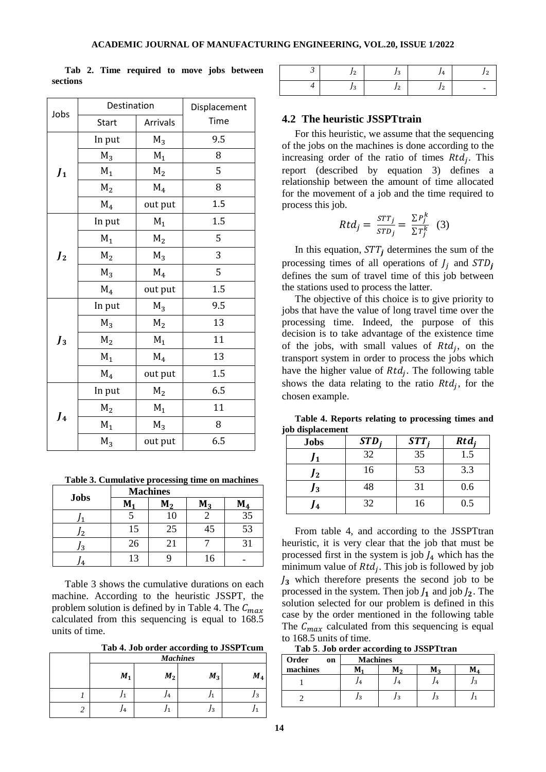| Jobs           | Destination    |                 | Displacement |
|----------------|----------------|-----------------|--------------|
|                | <b>Start</b>   | <b>Arrivals</b> | Time         |
|                | In put         | $M_3$           | 9.5          |
|                | $M_3$          | $M_1$           | 8            |
| $J_1$          | $M_1$          | $M_2$           | 5            |
|                | $M_2$          | $M_4$           | 8            |
|                | M <sub>4</sub> | out put         | 1.5          |
|                | In put         | $M_1$           | 1.5          |
|                | $M_1$          | $M_2$           | 5            |
| J <sub>2</sub> | $M_2$          | $M_3$           | 3            |
|                | $M_3$          | $M_4$           | 5            |
|                | $M_4$          | out put         | 1.5          |
|                | In put         | $M_3$           | 9.5          |
|                | $M_3$          | $M_2$           | 13           |
| $J_3$          | $\rm M_2$      | $M_1$           | 11           |
|                | $M_1$          | M <sub>4</sub>  | 13           |
|                | $M_4$          | out put         | 1.5          |
|                | In put         | $M_2$           | 6.5          |
|                | $M_2$          | $M_1$           | 11           |
| J <sub>4</sub> | $M_1$          | $M_3$           | 8            |
|                | $M_3$          | out put         | 6.5          |

**Tab 2. Time required to move jobs between sections**

**Table 3. Cumulative processing time on machines**

| <b>Jobs</b> | <b>Machines</b> |                |    |    |
|-------------|-----------------|----------------|----|----|
|             | М               | M <sub>2</sub> | М  |    |
|             |                 | 10             |    | 35 |
| J2          | 15              | 25             | 45 | 53 |
| '3          | 26              | 21             |    |    |
| 4           | 13              |                | 16 |    |

Table 3 shows the cumulative durations on each machine. According to the heuristic JSSPT, the problem solution is defined by in Table 4. The  $C_{max}$ calculated from this sequencing is equal to 168.5 units of time.

**Tab 4. Job order according to JSSPTcum**

|       | <b>Machines</b> |       |                |
|-------|-----------------|-------|----------------|
| $M_1$ | $M_2$           | $M_3$ | M <sub>4</sub> |
|       | J4              | 1     | JЗ             |
| J4    |                 | Jз    |                |

| <u>.</u> | ັ | 71. |  |
|----------|---|-----|--|
| ر ر      | - | -   |  |

#### **4.2 The heuristic JSSPTtrain**

For this heuristic, we assume that the sequencing of the jobs on the machines is done according to the increasing order of the ratio of times  $Rtd_i$ . This report (described by equation 3) defines a relationship between the amount of time allocated for the movement of a job and the time required to process this job.

$$
Rtd_j = \frac{STT_j}{STD_j} = \frac{\sum P_j^k}{\sum T_i^k} \quad (3)
$$

In this equation,  $STT_i$  determines the sum of the processing times of all operations of  $J_i$  and  $STD_i$ defines the sum of travel time of this job between the stations used to process the latter.

The objective of this choice is to give priority to jobs that have the value of long travel time over the processing time. Indeed, the purpose of this decision is to take advantage of the existence time of the jobs, with small values of  $Rtd_i$ , on the transport system in order to process the jobs which have the higher value of  $Rtd_i$ . The following table shows the data relating to the ratio  $Rtd_i$ , for the chosen example.

**Table 4. Reports relating to processing times and job displacement**

| <b>Jobs</b> | $STD_i$ | STT | $Rtd_i$ |
|-------------|---------|-----|---------|
| , 1         | 32      | 35  | 1.5     |
| J2          | 16      | 53  | 3.3     |
| Jз          | 48      | 31  | 0.6     |
| 14          | 32      | 16  | 0.5     |

From table 4, and according to the JSSPTtran heuristic, it is very clear that the job that must be processed first in the system is job  $J_4$  which has the minimum value of  $Rtd_i$ . This job is followed by job  $J_3$  which therefore presents the second job to be processed in the system. Then job  $J_1$  and job  $J_2$ . The solution selected for our problem is defined in this case by the order mentioned in the following table The  $C_{max}$  calculated from this sequencing is equal to 168.5 units of time.

**Tab 5**. **Job order according to JSSPTtran**

| Order<br>on | <b>Machines</b> |    |    |    |
|-------------|-----------------|----|----|----|
| machines    | [V              | м, |    | M, |
|             |                 | 4  | 14 | ί3 |
|             | 3               |    | J3 |    |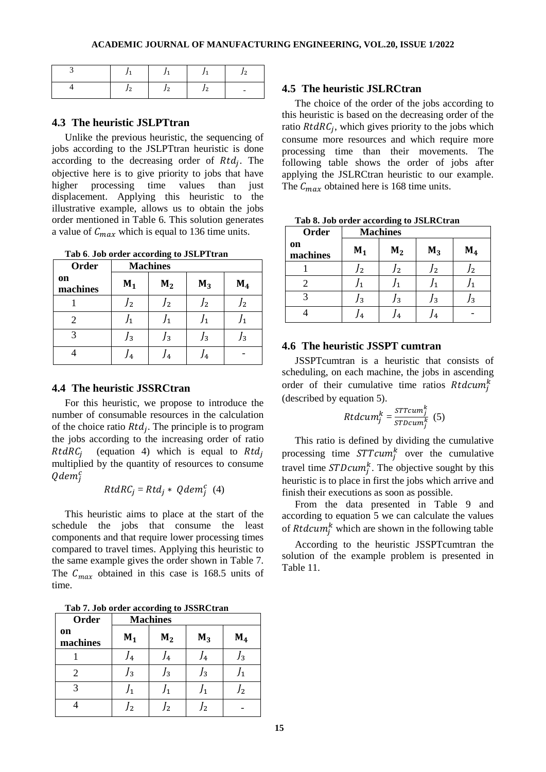|  |  | ∼ |
|--|--|---|
|  |  |   |

#### **4.3 The heuristic JSLPTtran**

Unlike the previous heuristic, the sequencing of jobs according to the JSLPTtran heuristic is done according to the decreasing order of  $Rtd_i$ . The objective here is to give priority to jobs that have higher processing time values than just displacement. Applying this heuristic to the illustrative example, allows us to obtain the jobs order mentioned in Table 6. This solution generates a value of  $C_{max}$  which is equal to 136 time units.

**Tab 6**. **Job order according to JSLPTtran**

| Order          |       | <b>Machines</b> |                |       |
|----------------|-------|-----------------|----------------|-------|
| on<br>machines | $M_1$ | $M_2$           | $M_3$          | $M_4$ |
|                | J2    | J2              | J2             | J2    |
| 2              | J1    | J1              | J1             |       |
| 3              | J3    | Jз              | J3             | Jз    |
|                | l4    | $\overline{4}$  | $\overline{4}$ |       |

## **4.4 The heuristic JSSRCtran**

For this heuristic, we propose to introduce the number of consumable resources in the calculation of the choice ratio  $Rtd_i$ . The principle is to program the jobs according to the increasing order of ratio  $RtdRC_i$ (equation 4) which is equal to  $Rtd_i$ multiplied by the quantity of resources to consume  $Q$ de $\overline{m}_i^c$ 

$$
RtdRC_i = Rtd_i * Qdem_i^c \quad (4)
$$

This heuristic aims to place at the start of the schedule the jobs that consume the least components and that require lower processing times compared to travel times. Applying this heuristic to the same example gives the order shown in Table 7. The  $C_{max}$  obtained in this case is 168.5 units of time.

**Tab 7. Job order according to JSSRCtran** 

| Order          |       | <b>Machines</b> |       |       |
|----------------|-------|-----------------|-------|-------|
| on<br>machines | $M_1$ | M <sub>2</sub>  | $M_3$ | $M_4$ |
|                | 14    | J4              | J4    | J3    |
| 2              | J3    | $J_3$           | $J_3$ | 11    |
| 3              | 11    | J1              | J1    | J2    |
|                | I2    | J2              | 12    |       |

#### **4.5 The heuristic JSLRCtran**

The choice of the order of the jobs according to this heuristic is based on the decreasing order of the ratio  $RtdRC<sub>j</sub>$ , which gives priority to the jobs which consume more resources and which require more processing time than their movements. The following table shows the order of jobs after applying the JSLRCtran heuristic to our example. The  $C_{max}$  obtained here is 168 time units.

**Tab 8. Job order according to JSLRCtran** 

| Order          |       | <b>Machines</b> |                |                |
|----------------|-------|-----------------|----------------|----------------|
| on<br>machines | $M_1$ | M <sub>2</sub>  | $M_3$          | M <sub>4</sub> |
|                | 12    | 12              | J2             | $^{2}$         |
|                | ′1    |                 | '1             |                |
|                | J3    | J3              | J3             | '3             |
|                | 4     | 4               | $\overline{4}$ |                |

## **4.6 The heuristic JSSPT cumtran**

JSSPTcumtran is a heuristic that consists of scheduling, on each machine, the jobs in ascending order of their cumulative time ratios Rtdcum<sup>k</sup> (described by equation 5).

$$
Rtdcum_j^k = \frac{STrcum_j^k}{STDcum_j^k} \tag{5}
$$

This ratio is defined by dividing the cumulative processing time  $STTcum_i^k$  over the cumulative travel time  $STDcum_j^k$ . The objective sought by this heuristic is to place in first the jobs which arrive and finish their executions as soon as possible.

From the data presented in Table 9 and according to equation 5 we can calculate the values of Rtdcum<sup>k</sup> which are shown in the following table

According to the heuristic JSSPTcumtran the solution of the example problem is presented in Table 11.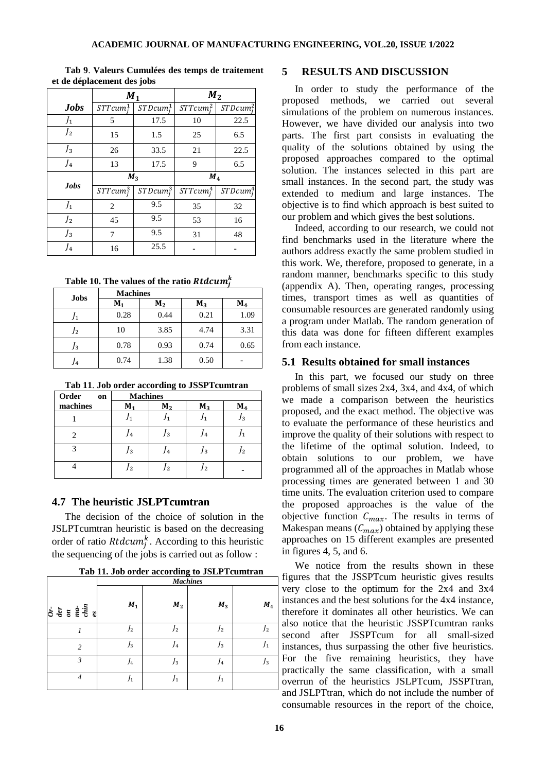|                    | $M_2$<br>$M_1$ |              |              |              |
|--------------------|----------------|--------------|--------------|--------------|
| <b><i>Jobs</i></b> | $STTcum_i^1$   | $STDcum_i^1$ | $STTcum_i^2$ | $STDcum_i^2$ |
| $J_1$              | 5              | 17.5         | 10           | 22.5         |
| J <sub>2</sub>     | 15             | 1.5          | 25           | 6.5          |
| $J_3$              | 26             | 33.5         | 21           | 22.5         |
| J <sub>4</sub>     | 13             | 17.5         | 9            | 6.5          |
|                    | $M_3$          |              |              |              |
|                    |                |              | $M_{4}$      |              |
| Jobs               | $STTcum_i^3$   | $STDcum_i^3$ | $STTcum_i^4$ | $STDcum_i^4$ |
| $J_1$              | 2              | 9.5          | 35           | 32           |
| J <sub>2</sub>     | 45             | 9.5          | 53           | 16           |
| $J_3$              | 7              | 9.5          | 31           | 48           |

**Tab 9**. **Valeurs Cumulées des temps de traitement et de déplacement des jobs**

**Table 10. The values of the ratio** 

| <b>Jobs</b>    | <b>Machines</b> |                |       |       |  |  |
|----------------|-----------------|----------------|-------|-------|--|--|
|                | M <sub>1</sub>  | M <sub>2</sub> | $M_3$ | $M_4$ |  |  |
|                | 0.28            | 0.44           | 0.21  | 1.09  |  |  |
| J <sub>2</sub> | 10              | 3.85           | 4.74  | 3.31  |  |  |
| J3             | 0.78            | 0.93           | 0.74  | 0.65  |  |  |
| J4             | 0.74            | 1.38           | 0.50  |       |  |  |

**Tab 11**. **Job order according to JSSPTcumtran**

| Order<br>on | <b>Machines</b> |                |       |                |
|-------------|-----------------|----------------|-------|----------------|
| machines    | М               | M <sub>2</sub> | $M_3$ | $M_{4}$        |
|             |                 |                |       | '3             |
|             | 4               | Jз             | 14    |                |
|             | '3              |                | 13    | $\overline{2}$ |
|             | $^{\prime}$ 2   | 2              |       |                |

#### **4.7 The heuristic JSLPTcumtran**

The decision of the choice of solution in the JSLPTcumtran heuristic is based on the decreasing order of ratio  $Rtdcum_i^k$ . According to this heuristic the sequencing of the jobs is carried out as follow :

**Tab 11. Job order according to JSLPTcumtran**

|                                                                                                                                              | <b>Machines</b> |                |                |                    |  |
|----------------------------------------------------------------------------------------------------------------------------------------------|-----------------|----------------|----------------|--------------------|--|
| $\begin{array}{l} \hat{G}\cdot\hat{G}\\ \hat{G}\circ\hat{G}\\ \hat{G}\circ\hat{G}\\ \hat{G}\circ\hat{G}\\ \hat{G}\circ\hat{G}\\ \end{array}$ | $M_1$           | M <sub>2</sub> | $M_3$          | $\boldsymbol{M}_4$ |  |
| 1                                                                                                                                            | J <sub>2</sub>  | J <sub>2</sub> | J <sub>2</sub> | J <sub>2</sub>     |  |
| $\overline{c}$                                                                                                                               | $J_3$           | J <sub>4</sub> | $J_3$          | Jı                 |  |
| 3                                                                                                                                            | J4              | $J_3$          | J4             | $J_3$              |  |
| 4                                                                                                                                            | J1              | J1             | J1             |                    |  |

## **5 RESULTS AND DISCUSSION**

In order to study the performance of the proposed methods, we carried out several simulations of the problem on numerous instances. However, we have divided our analysis into two parts. The first part consists in evaluating the quality of the solutions obtained by using the proposed approaches compared to the optimal solution. The instances selected in this part are small instances. In the second part, the study was extended to medium and large instances. The objective is to find which approach is best suited to our problem and which gives the best solutions.

Indeed, according to our research, we could not find benchmarks used in the literature where the authors address exactly the same problem studied in this work. We, therefore, proposed to generate, in a random manner, benchmarks specific to this study (appendix A). Then, operating ranges, processing times, transport times as well as quantities of consumable resources are generated randomly using a program under Matlab. The random generation of this data was done for fifteen different examples from each instance.

## **5.1 Results obtained for small instances**

In this part, we focused our study on three problems of small sizes 2x4, 3x4, and 4x4, of which we made a comparison between the heuristics proposed, and the exact method. The objective was to evaluate the performance of these heuristics and improve the quality of their solutions with respect to the lifetime of the optimal solution. Indeed, to obtain solutions to our problem, we have programmed all of the approaches in Matlab whose processing times are generated between 1 and 30 time units. The evaluation criterion used to compare the proposed approaches is the value of the objective function  $C_{max}$ . The results in terms of Makespan means  $(C_{max})$  obtained by applying these approaches on 15 different examples are presented in figures 4, 5, and 6.

We notice from the results shown in these figures that the JSSPTcum heuristic gives results very close to the optimum for the 2x4 and 3x4 instances and the best solutions for the 4x4 instance, therefore it dominates all other heuristics. We can also notice that the heuristic JSSPTcumtran ranks second after JSSPTcum for all small-sized instances, thus surpassing the other five heuristics. For the five remaining heuristics, they have practically the same classification, with a small overrun of the heuristics JSLPTcum, JSSPTtran, and JSLPTtran, which do not include the number of consumable resources in the report of the choice,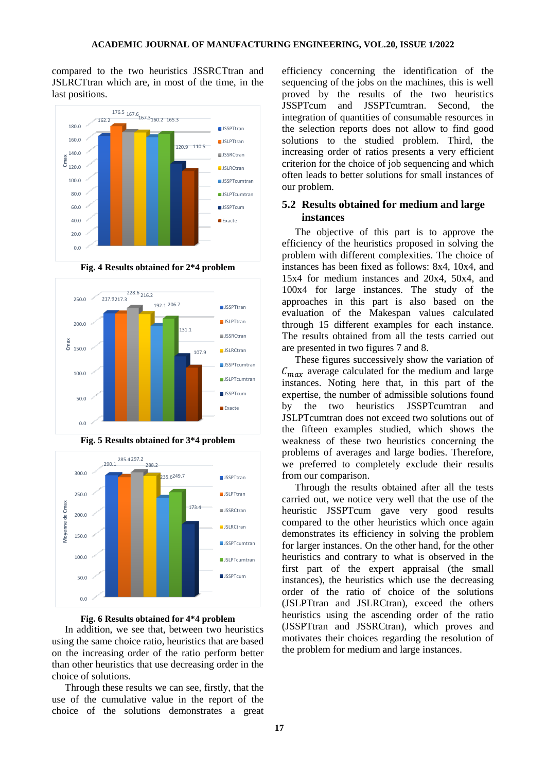compared to the two heuristics JSSRCTtran and JSLRCTtran which are, in most of the time, in the last positions.



 $0.0$ 50.0 100.0 150.0 200.0 250.0 217.9217.3 228.6 216.2 192.1 206.7 131.1 107.9 **Cmax JSSPTtran JSLPTtran JSSRCtran JSLRCtran** JSSPTcumtran **JSLPTcumtran JSSPTcum Exacte** 

**Fig. 4 Results obtained for 2\*4 problem** 





#### **Fig. 6 Results obtained for 4\*4 problem**

In addition, we see that, between two heuristics using the same choice ratio, heuristics that are based on the increasing order of the ratio perform better than other heuristics that use decreasing order in the choice of solutions.

Through these results we can see, firstly, that the use of the cumulative value in the report of the choice of the solutions demonstrates a great efficiency concerning the identification of the sequencing of the jobs on the machines, this is well proved by the results of the two heuristics JSSPTcum and JSSPTcumtran. Second, the integration of quantities of consumable resources in the selection reports does not allow to find good solutions to the studied problem. Third, the increasing order of ratios presents a very efficient criterion for the choice of job sequencing and which often leads to better solutions for small instances of our problem.

## **5.2 Results obtained for medium and large instances**

The objective of this part is to approve the efficiency of the heuristics proposed in solving the problem with different complexities. The choice of instances has been fixed as follows: 8x4, 10x4, and 15x4 for medium instances and 20x4, 50x4, and 100x4 for large instances. The study of the approaches in this part is also based on the evaluation of the Makespan values calculated through 15 different examples for each instance. The results obtained from all the tests carried out are presented in two figures 7 and 8.

These figures successively show the variation of  $C_{max}$  average calculated for the medium and large instances. Noting here that, in this part of the expertise, the number of admissible solutions found by the two heuristics JSSPTcumtran and JSLPTcumtran does not exceed two solutions out of the fifteen examples studied, which shows the weakness of these two heuristics concerning the problems of averages and large bodies. Therefore, we preferred to completely exclude their results from our comparison.

Through the results obtained after all the tests carried out, we notice very well that the use of the heuristic JSSPTcum gave very good results compared to the other heuristics which once again demonstrates its efficiency in solving the problem for larger instances. On the other hand, for the other heuristics and contrary to what is observed in the first part of the expert appraisal (the small instances), the heuristics which use the decreasing order of the ratio of choice of the solutions (JSLPTtran and JSLRCtran), exceed the others heuristics using the ascending order of the ratio (JSSPTtran and JSSRCtran), which proves and motivates their choices regarding the resolution of the problem for medium and large instances.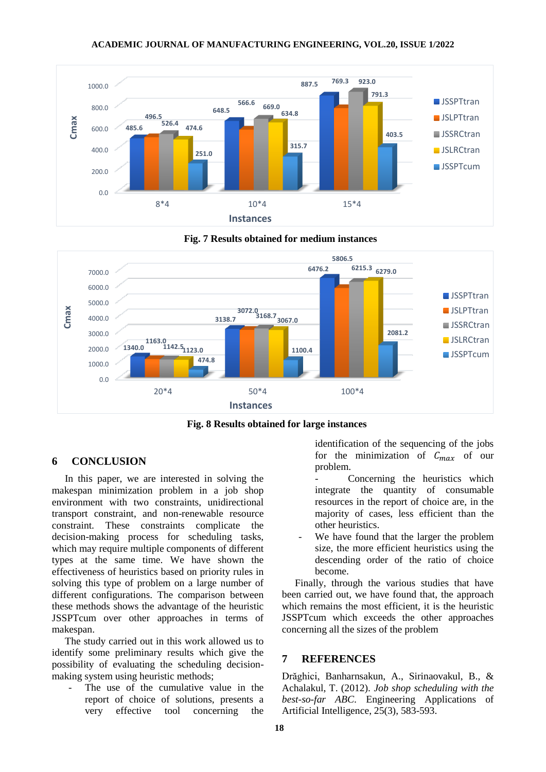



**Fig. 7 Results obtained for medium instances**

**Fig. 8 Results obtained for large instances**

#### **6 CONCLUSION**

In this paper, we are interested in solving the makespan minimization problem in a job shop environment with two constraints, unidirectional transport constraint, and non-renewable resource constraint. These constraints complicate the decision-making process for scheduling tasks, which may require multiple components of different types at the same time. We have shown the effectiveness of heuristics based on priority rules in solving this type of problem on a large number of different configurations. The comparison between these methods shows the advantage of the heuristic JSSPTcum over other approaches in terms of makespan.

The study carried out in this work allowed us to identify some preliminary results which give the possibility of evaluating the scheduling decisionmaking system using heuristic methods;

The use of the cumulative value in the report of choice of solutions, presents a very effective tool concerning the

identification of the sequencing of the jobs for the minimization of  $C_{max}$  of our problem.

Concerning the heuristics which integrate the quantity of consumable resources in the report of choice are, in the majority of cases, less efficient than the other heuristics.

We have found that the larger the problem size, the more efficient heuristics using the descending order of the ratio of choice become.

Finally, through the various studies that have been carried out, we have found that, the approach which remains the most efficient, it is the heuristic JSSPTcum which exceeds the other approaches concerning all the sizes of the problem

## **7 REFERENCES**

Drăghici, Banharnsakun, A., Sirinaovakul, B., & Achalakul, T. (2012). *Job shop scheduling with the best-so-far ABC*. Engineering Applications of Artificial Intelligence, 25(3), 583-593.